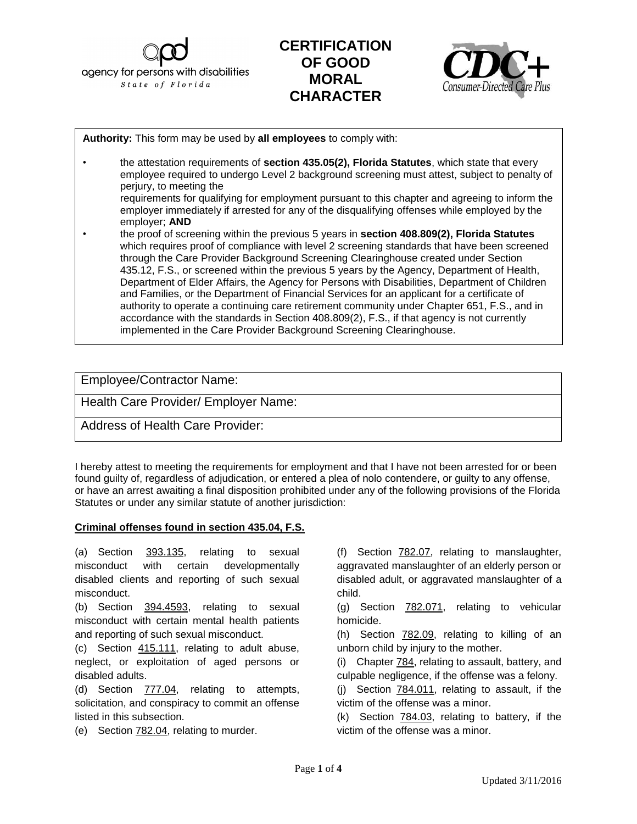agency for persons with disabilities State of Florida

## **CERTIFICATION OF GOOD MORAL CHARACTER**



**Authority:** This form may be used by **all employees** to comply with:

- the attestation requirements of **section 435.05(2), Florida Statutes**, which state that every employee required to undergo Level 2 background screening must attest, subject to penalty of perjury, to meeting the requirements for qualifying for employment pursuant to this chapter and agreeing to inform the employer immediately if arrested for any of the disqualifying offenses while employed by the
- employer; **AND** • the proof of screening within the previous 5 years in **section 408.809(2), Florida Statutes**  which requires proof of compliance with level 2 screening standards that have been screened through the Care Provider Background Screening Clearinghouse created under Section 435.12, F.S., or screened within the previous 5 years by the Agency, Department of Health, Department of Elder Affairs, the Agency for Persons with Disabilities, Department of Children and Families, or the Department of Financial Services for an applicant for a certificate of authority to operate a continuing care retirement community under Chapter 651, F.S., and in accordance with the standards in Section 408.809(2), F.S., if that agency is not currently implemented in the Care Provider Background Screening Clearinghouse.

**Employee/Contractor Name: license**, please attach a copy of the screening results and submit with the licensure application.

Health Care Provider/ Employer Name:

Address of Health Care Provider:

I hereby attest to meeting the requirements for employment and that I have not been arrested for or been found guilty of, regardless of adjudication, or entered a plea of nolo contendere, or guilty to any offense, or have an arrest awaiting a final disposition prohibited under any of the following provisions of the Florida Statutes or under any similar statute of another jurisdiction:

## **Criminal offenses found in section 435.04, F.S.**

(a) Section 393.135, relating to sexual misconduct with certain developmentally disabled clients and reporting of such sexual misconduct.

(b) Section 394.4593, relating to sexual misconduct with certain mental health patients and reporting of such sexual misconduct.

(c) Section 415.111, relating to adult abuse, neglect, or exploitation of aged persons or disabled adults.

(d) Section 777.04, relating to attempts, solicitation, and conspiracy to commit an offense listed in this subsection.

(e) Section 782.04, relating to murder.

(f) Section 782.07, relating to manslaughter, aggravated manslaughter of an elderly person or disabled adult, or aggravated manslaughter of a child.

(g) Section 782.071, relating to vehicular homicide.

(h) Section 782.09, relating to killing of an unborn child by injury to the mother.

(i) Chapter 784, relating to assault, battery, and culpable negligence, if the offense was a felony.

(j) Section 784.011, relating to assault, if the victim of the offense was a minor.

(k) Section 784.03, relating to battery, if the victim of the offense was a minor.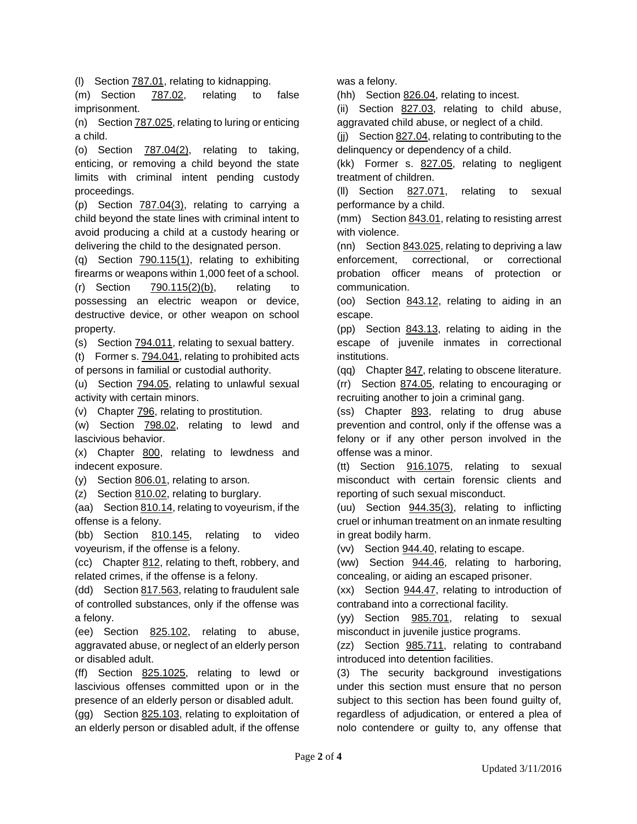(l) Section 787.01, relating to kidnapping.

(m) Section 787.02, relating to false imprisonment.

(n) Section 787.025, relating to luring or enticing a child.

(o) Section 787.04(2), relating to taking, enticing, or removing a child beyond the state limits with criminal intent pending custody proceedings.

(p) Section 787.04(3), relating to carrying a child beyond the state lines with criminal intent to avoid producing a child at a custody hearing or delivering the child to the designated person.

(q) Section 790.115(1), relating to exhibiting firearms or weapons within 1,000 feet of a school.

(r) Section 790.115(2)(b), relating to possessing an electric weapon or device, destructive device, or other weapon on school property.

(s) Section 794.011, relating to sexual battery.

(t) Former s. 794.041, relating to prohibited acts of persons in familial or custodial authority.

(u) Section 794.05, relating to unlawful sexual activity with certain minors.

(v) Chapter 796, relating to prostitution.

(w) Section 798.02, relating to lewd and lascivious behavior.

(x) Chapter 800, relating to lewdness and indecent exposure.

(y) Section 806.01, relating to arson.

(z) Section 810.02, relating to burglary.

(aa) Section 810.14, relating to voyeurism, if the offense is a felony.

(bb) Section 810.145, relating to video voyeurism, if the offense is a felony.

(cc) Chapter 812, relating to theft, robbery, and related crimes, if the offense is a felony.

(dd) Section 817.563, relating to fraudulent sale of controlled substances, only if the offense was a felony.

(ee) Section 825.102, relating to abuse, aggravated abuse, or neglect of an elderly person or disabled adult.

(ff) Section 825.1025, relating to lewd or lascivious offenses committed upon or in the presence of an elderly person or disabled adult.

(gg) Section 825.103, relating to exploitation of an elderly person or disabled adult, if the offense was a felony.

(hh) Section 826.04, relating to incest.

(ii) Section 827.03, relating to child abuse, aggravated child abuse, or neglect of a child.

(ii) Section 827.04, relating to contributing to the delinquency or dependency of a child.

(kk) Former s. 827.05, relating to negligent treatment of children.

(ll) Section 827.071, relating to sexual performance by a child.

(mm) Section 843.01, relating to resisting arrest with violence.

(nn) Section  $843.025$ , relating to depriving a law enforcement, correctional, or correctional probation officer means of protection or communication.

(oo) Section 843.12, relating to aiding in an escape.

(pp) Section 843.13, relating to aiding in the escape of juvenile inmates in correctional institutions.

(qq) Chapter 847, relating to obscene literature.

(rr) Section 874.05, relating to encouraging or recruiting another to join a criminal gang.

(ss) Chapter 893, relating to drug abuse prevention and control, only if the offense was a felony or if any other person involved in the offense was a minor.

(tt) Section 916.1075, relating to sexual misconduct with certain forensic clients and reporting of such sexual misconduct.

(uu) Section 944.35(3), relating to inflicting cruel or inhuman treatment on an inmate resulting in great bodily harm.

(vv) Section 944.40, relating to escape.

(ww) Section 944.46, relating to harboring, concealing, or aiding an escaped prisoner.

(xx) Section 944.47, relating to introduction of contraband into a correctional facility.

(yy) Section 985.701, relating to sexual misconduct in juvenile justice programs.

(zz) Section 985.711, relating to contraband introduced into detention facilities.

(3) The security background investigations under this section must ensure that no person subject to this section has been found guilty of, regardless of adjudication, or entered a plea of nolo contendere or guilty to, any offense that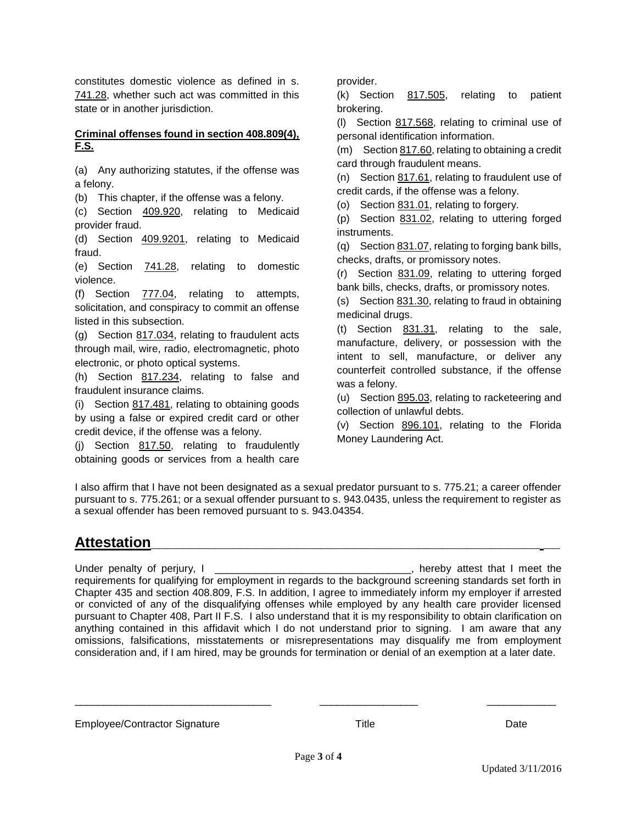constitutes domestic violence as defined in s. 741.28, whether such act was committed in this state or in another jurisdiction.

## **Criminal offenses found in section 408.809(4), F.S.**

(a) Any authorizing statutes, if the offense was a felony.

(b) This chapter, if the offense was a felony.

(c) Section 409.920, relating to Medicaid provider fraud.

(d) Section 409.9201, relating to Medicaid fraud.

(e) Section 741.28, relating to domestic violence.

(f) Section 777.04, relating to attempts, solicitation, and conspiracy to commit an offense listed in this subsection.

(g) Section 817.034, relating to fraudulent acts through mail, wire, radio, electromagnetic, photo electronic, or photo optical systems.

(h) Section 817.234, relating to false and fraudulent insurance claims.

(i) Section 817.481, relating to obtaining goods by using a false or expired credit card or other credit device, if the offense was a felony.

(j) Section 817.50, relating to fraudulently obtaining goods or services from a health care provider.

(k) Section 817.505, relating to patient brokering.

(l) Section 817.568, relating to criminal use of personal identification information.

(m) Section 817.60, relating to obtaining a credit card through fraudulent means.

(n) Section  $817.61$ , relating to fraudulent use of credit cards, if the offense was a felony.

(o) Section 831.01, relating to forgery.

(p) Section 831.02, relating to uttering forged instruments.

(q) Section 831.07, relating to forging bank bills, checks, drafts, or promissory notes.

(r) Section 831.09, relating to uttering forged bank bills, checks, drafts, or promissory notes.

(s) Section 831.30, relating to fraud in obtaining medicinal drugs.

(t) Section 831.31, relating to the sale, manufacture, delivery, or possession with the intent to sell, manufacture, or deliver any counterfeit controlled substance, if the offense was a felony.

(u) Section 895.03, relating to racketeering and collection of unlawful debts.

(v) Section 896.101, relating to the Florida Money Laundering Act.

I also affirm that I have not been designated as a sexual predator pursuant to s. 775.21; a career offender pursuant to s. 775.261; or a sexual offender pursuant to s. 943.0435, unless the requirement to register as a sexual offender has been removed pursuant to s. 943.04354.

## **Attestation\_\_\_\_\_\_\_\_\_\_\_\_\_\_\_\_\_\_\_\_\_\_\_\_\_\_\_\_\_\_\_\_\_\_\_\_\_\_\_\_\_\_\_\_\_\_\_\_ \_\_**

Under penalty of perjury, I contains the set of the set of the set of the set of the set of the set of the set of the set of the set of the set of the set of the set of the set of the set of the set of the set of the set o requirements for qualifying for employment in regards to the background screening standards set forth in Chapter 435 and section 408.809, F.S. In addition, I agree to immediately inform my employer if arrested or convicted of any of the disqualifying offenses while employed by any health care provider licensed pursuant to Chapter 408, Part II F.S. I also understand that it is my responsibility to obtain clarification on anything contained in this affidavit which I do not understand prior to signing. I am aware that any omissions, falsifications, misstatements or misrepresentations may disqualify me from employment consideration and, if I am hired, may be grounds for termination or denial of an exemption at a later date.

Employee/Contractor Signature Title Title The Date Date

\_\_\_\_\_\_\_\_\_\_\_\_\_\_\_\_\_\_\_\_\_\_\_\_\_\_\_\_\_\_\_\_\_\_ \_\_\_\_\_\_\_\_\_\_\_\_\_\_\_\_\_ \_\_\_\_\_\_\_\_\_\_\_\_